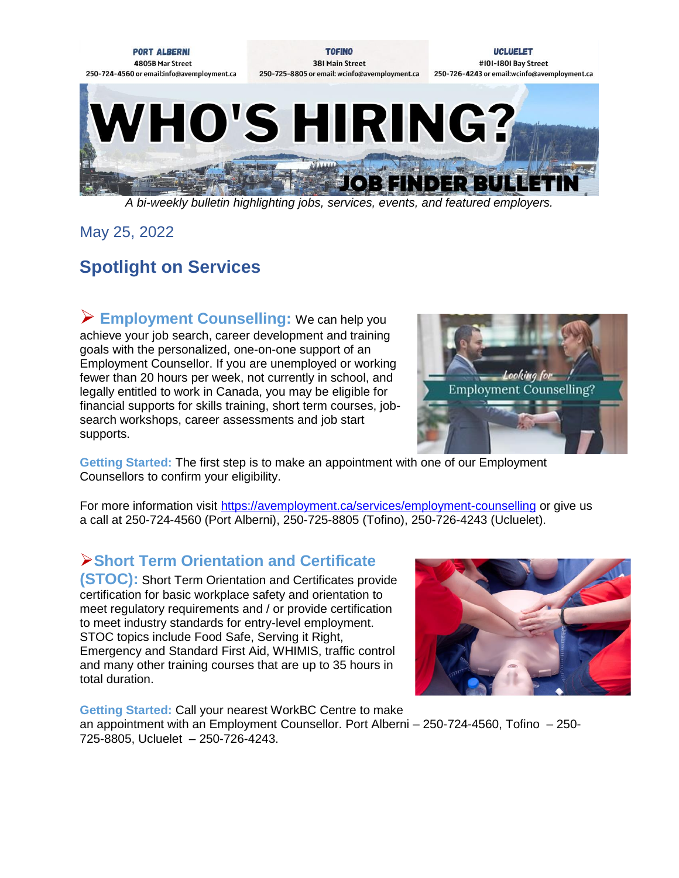

*A bi-weekly bulletin highlighting jobs, services, events, and featured employers.*

May 25, 2022

# **Spotlight on Services**

 **Employment Counselling:** We can help you achieve your job search, career development and training goals with the personalized, one-on-one support of an Employment Counsellor. If you are unemployed or working fewer than 20 hours per week, not currently in school, and legally entitled to work in Canada, you may be eligible for financial supports for skills training, short term courses, jobsearch workshops, career assessments and job start supports.



**Getting Started:** The first step is to make an appointment with one of our Employment Counsellors to confirm your eligibility.

For more information visit<https://avemployment.ca/services/employment-counselling> or give us a call at 250-724-4560 (Port Alberni), 250-725-8805 (Tofino), 250-726-4243 (Ucluelet).

#### **Short Term Orientation and Certificate**

**(STOC):** Short Term Orientation and Certificates provide certification for basic workplace safety and orientation to meet regulatory requirements and / or provide certification to meet industry standards for entry-level employment. STOC topics include Food Safe, Serving it Right, Emergency and Standard First Aid, WHIMIS, traffic control and many other training courses that are up to 35 hours in total duration.



**Getting Started:** Call your nearest WorkBC Centre to make an appointment with an Employment Counsellor. Port Alberni – 250-724-4560, Tofino – 250- 725-8805, Ucluelet – 250-726-4243.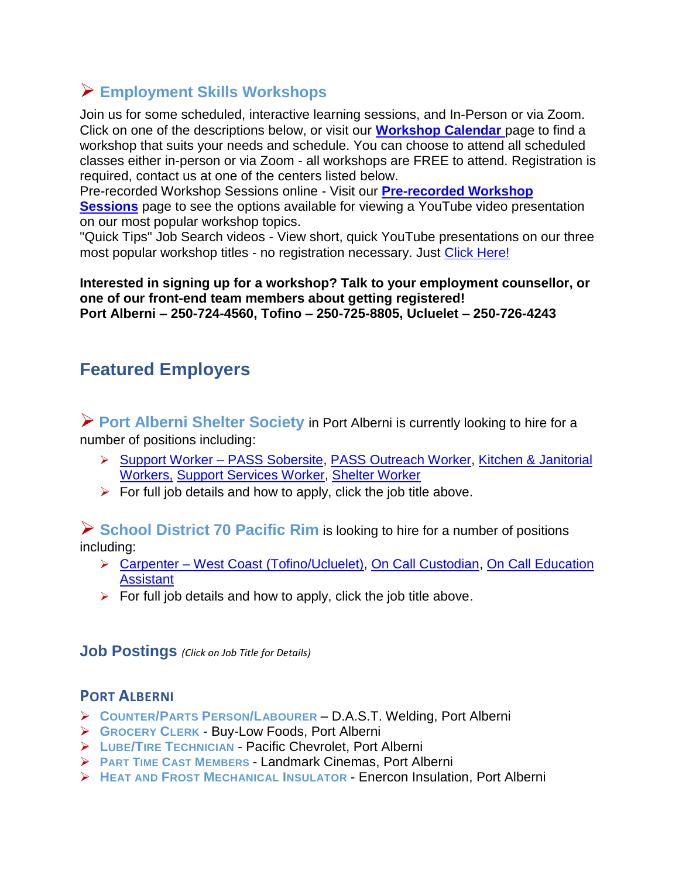### **Employment Skills Workshops**

Join us for some scheduled, interactive learning sessions, and In-Person or via Zoom. Click on one of the descriptions below, or visit our **[Workshop Calendar](https://www.avemployment.ca/workshop-schedule/2022-05)** page to find a workshop that suits your needs and schedule. You can choose to attend all scheduled classes either in-person or via Zoom - all workshops are FREE to attend. Registration is required, contact us at one of the centers listed below.

Pre-recorded Workshop Sessions online - Visit our **[Pre-recorded Workshop](https://avemployment.ca/online-skills-building-sessions)  [Sessions](https://avemployment.ca/online-skills-building-sessions)** page to see the options available for viewing a YouTube video presentation on our most popular workshop topics.

"Quick Tips" Job Search videos - View short, quick YouTube presentations on our three most popular workshop titles - no registration necessary. Just [Click Here!](https://avemployment.ca/job-search-quick-tips-videos)

**Interested in signing up for a workshop? Talk to your employment counsellor, or one of our front-end team members about getting registered! Port Alberni – 250-724-4560, Tofino – 250-725-8805, Ucluelet – 250-726-4243** 

## **Featured Employers**

**Port Alberni Shelter Society** in Port Alberni is currently looking to hire for a number of positions including:

- ▶ [Support Worker –](https://www.avemployment.ca/sites/default/files/Sober%20center%20Job%20posting%202022.pdf) PASS Sobersite, [PASS Outreach Worker,](https://avemployment.ca/sites/default/files/Job%20posting%20OPS%202021_0.pdf) Kitchen & Janitorial [Workers,](https://avemployment.ca/sites/default/files/Job%20posting%20Kitchen%202021_1.pdf) [Support Services Worker, Shelter Worker](https://avemployment.ca/sites/default/files/Job%20Posting%20internal-%20external%20Nov%202021.pdf)
- $\triangleright$  For full job details and how to apply, click the job title above.

**School District 70 Pacific Rim** is looking to hire for a number of positions including:

- Carpenter [West Coast \(Tofino/Ucluelet\),](https://www.avemployment.ca/job-posting/23574) [On Call Custodian,](https://www.avemployment.ca/job-posting/24738) [On Call Education](https://www.avemployment.ca/job-posting/24739)  **[Assistant](https://www.avemployment.ca/job-posting/24739)**
- $\triangleright$  For full job details and how to apply, click the job title above.

**Job Postings** *(Click on Job Title for Details)*

#### **PORT ALBERNI**

- **COUNTER/PARTS PERSON/L[ABOURER](https://www.avemployment.ca/job-posting/25482)** D.A.S.T. Welding, Port Alberni
- **G[ROCERY](https://www.avemployment.ca/job-posting/22152) CLERK** Buy-Low Foods, Port Alberni
- **LUBE/TIRE T[ECHNICIAN](https://www.avemployment.ca/job-posting/24694)** Pacific Chevrolet, Port Alberni
- **PART TIME CAST M[EMBERS](https://www.avemployment.ca/job-posting/25548)** Landmark Cinemas, Port Alberni
- **HEAT AND FROST M[ECHANICAL](https://www.avemployment.ca/job-posting/24387) INSULATOR** Enercon Insulation, Port Alberni